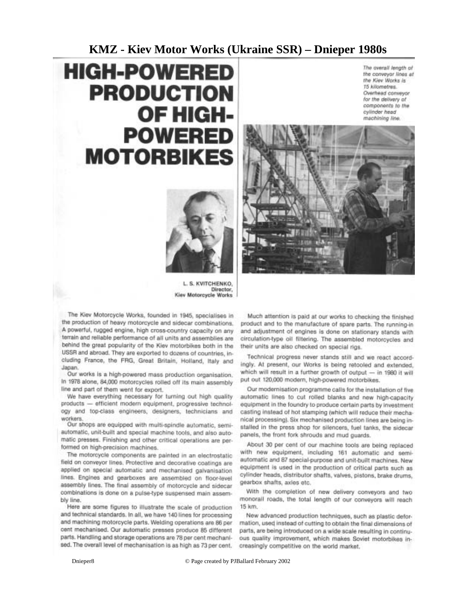### **KMZ - Kiev Motor Works (Ukraine SSR) – Dnieper 1980s**

# **HIGH-POWERED PRODUCTION** OF HIGH-**POWERED MOTORBIKES**

The overall length of the conveyor lines at the Kiev Works is 15 kilometres. Overhead conveyor for the delivery of components to the cylinder head machining line.



L. S. KVITCHENKO, Director. Kiev Motorcycle Works

The Kiev Motorcycle Works, founded in 1945, specialises in the production of heavy motorcycle and sidecar combinations. A powerful, rugged engine, high cross-country capacity on any terrain and reliable performance of all units and assemblies are behind the great popularity of the Kiev motorbikes both in the USSR and abroad. They are exported to dozens of countries, including France, the FRG, Great Britain, Holland, Italy and Japan.

Our works is a high-powered mass production organisation. In 1978 alone, 84,000 motorcycles rolled off its main assembly line and part of them went for export.

We have everything necessary for turning out high quality products - efficient modern equipment, progressive technology and top-class engineers, designers, technicians and workers.

Our shops are equipped with multi-spindle automatic, semiautomatic, unit-built and special machine tools, and also automatic presses. Finishing and other critical operations are performed on high-precision machines.

The motorcycle components are painted in an electrostatic field on conveyor lines. Protective and decorative coatings are applied on special automatic and mechanised galvanisation lines. Engines and gearboxes are assembled on floor-level assembly lines. The final assembly of motorcycle and sidecar combinations is done on a pulse-type suspensed main assembly line.

Here are some figures to illustrate the scale of production and technical standards. In all, we have 140 lines for processing and machining motorcycle parts. Welding operations are 86 per cent mechanised. Our automatic presses produce 85 different parts. Handling and storage operations are 78 per cent mechanised. The overall level of mechanisation is as high as 73 per cent.

Much attention is paid at our works to checking the finished product and to the manufacture of spare parts. The running-in and adjustment of engines is done on stationary stands with circulation-type oil filtering. The assembled motorcycles and their units are also checked on special rigs.

Technical progress never stands still and we react accordingly. At present, our Works is being retooled and extended. which will result in a further growth of output - in 1980 it will put out 120,000 modern, high-powered motorbikes.

Our modernisation programme calls for the installation of five automatic lines to cut rolled blanks and new high-capacity equipment in the foundry to produce certain parts by investment casting instead of hot stamping (which will reduce their mechanical processing). Six mechanised production lines are being installed in the press shop for silencers, fuel tanks, the sidecar panels, the front fork shrouds and mud guards.

About 30 per cent of our machine tools are being replaced with new equipment, including 161 automatic and semiautomatic and 87 special-purpose and unit-built machines. New equipment is used in the production of critical parts such as cylinder heads, distributor shafts, valves, pistons, brake drums, gearbox shafts, axles etc.

With the completion of new delivery conveyors and two monorall roads, the total length of our conveyors will reach 15 km.

New advanced production techniques, such as plastic deformation, used instead of cutting to obtain the final dimensions of parts, are being introduced on a wide scale resulting in continuous quality improvement, which makes Soviet motorbikes increasingly competitive on the world market.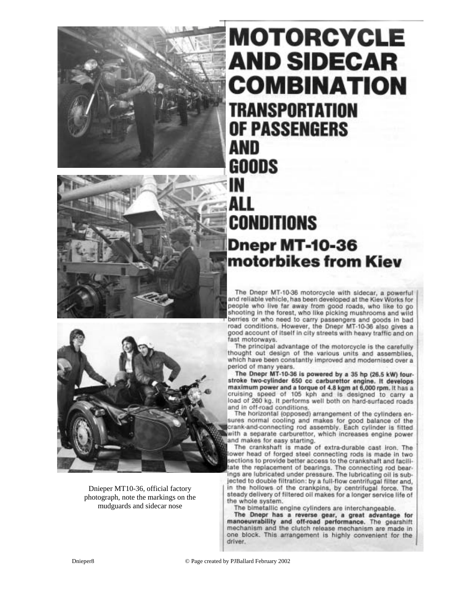



Dnieper MT10-36, official factory photograph, note the markings on the mudguards and sidecar nose

## **MOTORCYCLE AND SIDECAR COMBINATION** TRANSPORTATION **OF PASSENGERS AND GOODS** IN ALL CONDITIONS **Dnepr MT-10-36** motorbikes from Kiev

The Dnepr MT-10-36 motorcycle with sidecar, a powerful and reliable vehicle, has been developed at the Kiev Works for people who live far away from good roads, who like to go shooting in the forest, who like picking mushrooms and wild berries or who need to carry passengers and goods in bad<br>road conditions. However, the Dnepr MT-10-36 also gives a good account of itself in city streets with heavy traffic and on fast motorways.

The principal advantage of the motorcycle is the carefully thought out design of the various units and assemblies, which have been constantly improved and modernised over a period of many years.

The Dnepr MT-10-36 is powered by a 35 hp (26.5 kW) fourstroke two-cylinder 650 cc carburettor engine. It develops maximum power and a torque of 4.8 kgm at 6,000 rpm. It has a cruising speed of 105 kph and is designed to carry a load of 260 kg. It performs well both on hard-surfaced roads and in off-road conditions.

The horizontal (opposed) arrangement of the cylinders ensures normal cooling and makes for good balance of the crank-and-connecting rod assembly. Each cylinder is fitted with a separate carburettor, which increases engine power and makes for easy starting.

The crankshaft is made of extra-durable cast iron. The ower head of forged steel connecting rods is made in two sections to provide better access to the crankshaft and faciliate the replacement of bearings. The connecting rod bearings are lubricated under pressure. The lubricating oil is subjected to double filtration: by a full-flow centrifugal filter and, in the hollows of the crankpins, by centrifugal force. The steady delivery of filtered oil makes for a longer service life of the whole system.

The bimetallic engine cylinders are interchangeable.

The Dnepr has a reverse gear, a great advantage for manoeuvrability and off-road performance. The gearshift mechanism and the clutch release mechanism are made in one block. This arrangement is highly convenient for the driver.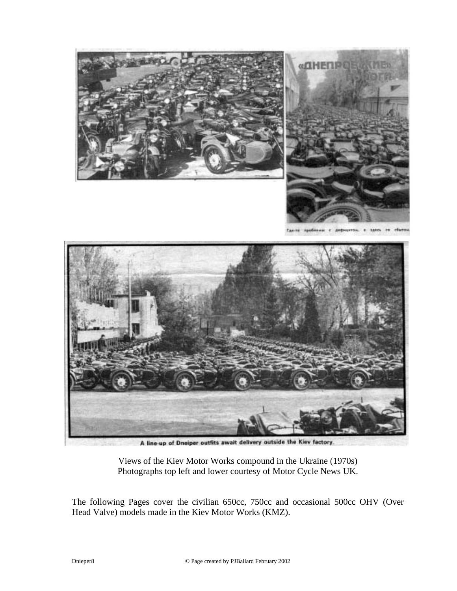

A line-up of Dneiper outfits await delivery outside the Kiev factory.

Views of the Kiev Motor Works compound in the Ukraine (1970s) Photographs top left and lower courtesy of Motor Cycle News UK.

The following Pages cover the civilian 650cc, 750cc and occasional 500cc OHV (Over Head Valve) models made in the Kiev Motor Works (KMZ).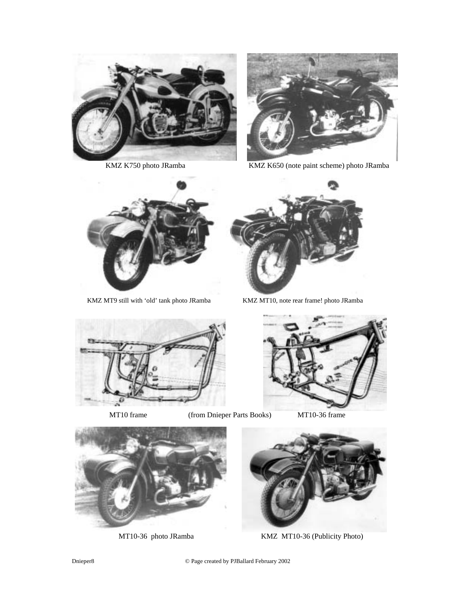



KMZ K750 photo JRamba KMZ K650 (note paint scheme) photo JRamba



KMZ MT9 still with 'old' tank photo JRamba KMZ MT10, note rear frame! photo JRamba







MT10 frame (from Dnieper Parts Books) MT10-36 frame





MT10-36 photo JRamba KMZ MT10-36 (Publicity Photo)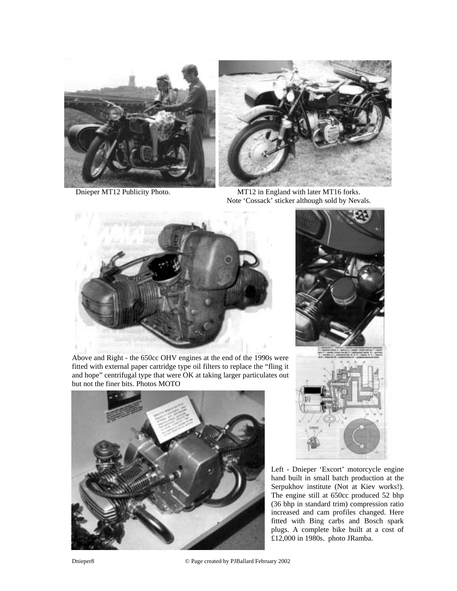





 Dnieper MT12 Publicity Photo. MT12 in England with later MT16 forks. Note 'Cossack' sticker although sold by Nevals.



Above and Right - the 650cc OHV engines at the end of the 1990s were fitted with external paper cartridge type oil filters to replace the "fling it and hope" centrifugal type that were OK at taking larger particulates out but not the finer bits. Photos MOTO





Left - Dnieper 'Excort' motorcycle engine hand built in small batch production at the Serpukhov institute (Not at Kiev works!). The engine still at 650cc produced 52 bhp (36 bhp in standard trim) compression ratio increased and cam profiles changed. Here fitted with Bing carbs and Bosch spark plugs. A complete bike built at a cost of £12,000 in 1980s. photo JRamba.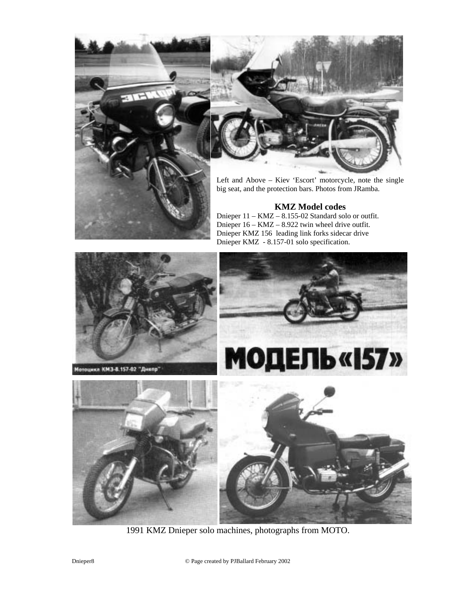



Left and Above – Kiev 'Escort' motorcycle, note the single big seat, and the protection bars. Photos from JRamba.

### **KMZ Model codes**

Dnieper 11 – KMZ – 8.155-02 Standard solo or outfit. Dnieper 16 – KMZ – 8.922 twin wheel drive outfit. Dnieper KMZ 156 leading link forks sidecar drive Dnieper KMZ - 8.157-01 solo specification.



1991 KMZ Dnieper solo machines, photographs from MOTO.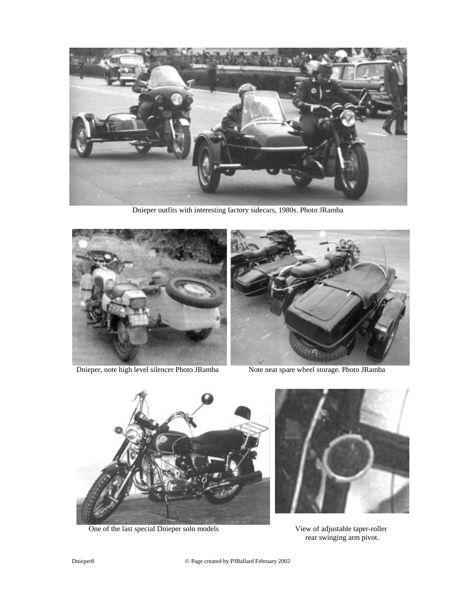

Dnieper outfits with interesting factory sidecars, 1980s. Photo JRamba



Dnieper, note high level silencer Photo JRamba Note neat spare wheel storage. Photo JRamba





One of the last special Dnieper solo models View of adjustable taper-roller



rear swinging arm pivot.